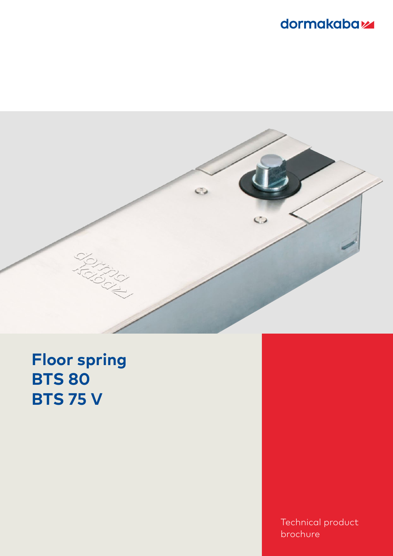



# **Floor spring BTS 80 BTS 75 V**

Technical product brochure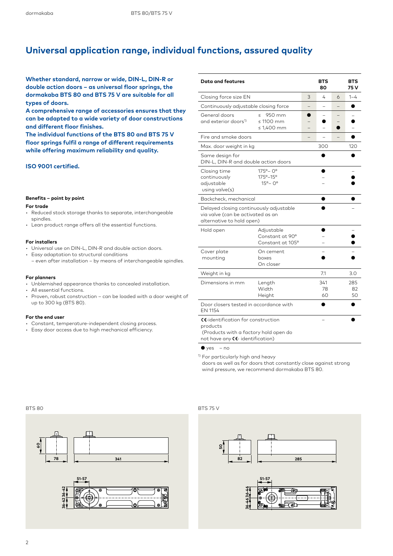# **Universal application range, individual functions, assured quality**

**Whether standard, narrow or wide, DIN-L, DIN-R or double action doors – as universal floor springs, the dormakaba BTS 80 and BTS 75 V are suitable for all types of doors.**

**A comprehensive range of accessories ensures that they can be adapted to a wide variety of door constructions and different floor finishes.**

**The individual functions of the BTS 80 and BTS 75 V floor springs fulfil a range of different requirements while offering maximum reliability and quality.**

# **ISO 9001 certified.**

## **Benefits – point by point**

#### **For trade**

- Reduced stock storage thanks to separate, interchangeable spindles.
- Lean product range offers all the essential functions.

### **For installers**

- Universal use on DIN-L, DIN-R and double action doors.
- Easy adaptation to structural conditions – even after installation – by means of interchangeable spindles.

## **For planners**

- Unblemished appearance thanks to concealed installation.
- All essential functions.
- Proven, robust construction can be loaded with a door weight of up to 300 kg (BTS 80).

#### **For the end user**

- Constant, temperature-independent closing process.
- Easy door access due to high mechanical efficiency.

| <b>Data and features</b>                                                                                                    |                                                                   |   | <b>BTS</b><br>80 |                 | <b>BTS</b><br>75 V |
|-----------------------------------------------------------------------------------------------------------------------------|-------------------------------------------------------------------|---|------------------|-----------------|--------------------|
| Closing force size EN                                                                                                       | 3                                                                 | 4 | 6                | $1 - 4$         |                    |
| Continuously adjustable closing force                                                                                       |                                                                   |   |                  |                 |                    |
| General doors<br>and exterior doors <sup>1)</sup>                                                                           | 950 mm<br>$\leq$<br>$\leq 1100$ mm<br>$\leq 1,400$ mm             |   |                  |                 |                    |
| Fire and smoke doors                                                                                                        |                                                                   |   |                  |                 |                    |
| Max. door weight in kg                                                                                                      |                                                                   |   | 120              |                 |                    |
| Same design for<br>DIN-L, DIN-R and double action doors                                                                     |                                                                   |   |                  |                 |                    |
| Closing time<br>continuously<br>adjustable<br>using valve(s)                                                                | $175^{\circ} - 0^{\circ}$<br>175°–15°<br>$15^{\circ} - 0^{\circ}$ |   |                  |                 |                    |
| Backcheck, mechanical                                                                                                       |                                                                   |   |                  |                 |                    |
| Delayed closing continuously adjustable<br>via valve (can be activated as an<br>alternative to hold open)                   |                                                                   |   |                  |                 |                    |
| Hold open                                                                                                                   | Adjustable<br>Constant at 90°<br>Constant at 105°                 |   |                  |                 |                    |
| Cover plate<br>mounting                                                                                                     | On cement<br>boxes<br>On closer                                   |   |                  |                 |                    |
| Weight in kg                                                                                                                |                                                                   |   | 7.1              |                 | 3.0                |
| Dimensions in mm                                                                                                            | Length<br>Width<br>Height                                         |   |                  | 285<br>82<br>50 |                    |
| Door closers tested in accordance with<br>EN 1154                                                                           |                                                                   |   |                  |                 |                    |
| CC-identification for construction<br>products<br>(Products with a factory hold open do<br>not have any CC- identification) |                                                                   |   |                  |                 |                    |

 $\bullet$  yes – no

<sup>1)</sup> For particularly high and heavy

doors as well as for doors that constantly close against strong wind pressure, we recommend dormakaba BTS 80.



# BTS 80 BTS 75 V

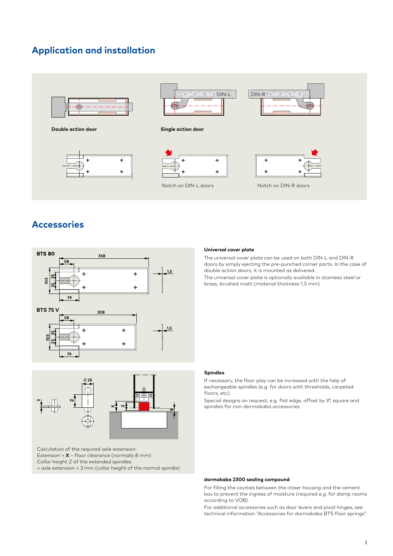# **Application and installation**



# **Accessories**





Calculation of the required axle extension: Extension = **X** – floor clearance (normally 8 mm) Collar height Z of the extended spindles = axle extension + 3 mm (collar height of the normal spindle)

# **Universal cover plate**

The universal cover plate can be used on both DIN-L and DIN-R doors by simply ejecting the pre-punched corner parts. In the case of double action doors, it is mounted as delivered. The universal cover plate is optionally available in stainless steel or brass, brushed matt (material thickness 1.5 mm).

# **Spindles**

If necessary, the floor play can be increased with the help of exchangeable spindles (e.g. for doors with thresholds, carpeted floors, etc).

Special designs on request, e.g. flat edge, offset by 3°, square and spindles for non-dormakaba accessories.

# **dormakaba 2300 sealing compound**

For filling the cavities between the closer housing and the cement box to prevent the ingress of moisture (required e.g. for damp rooms according to VOB).

For additional accessories such as door levers and pivot hinges, see technical information "Accessories for dormakaba BTS floor springs".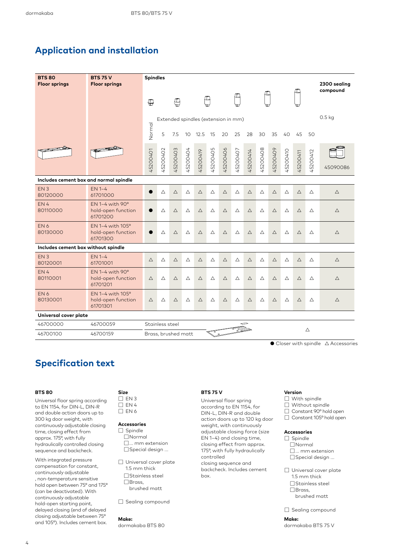# **Application and installation**

| <b>BTS 80</b><br><b>Floor springs</b>  | <b>BTS 75 V</b><br><b>Floor springs</b>                    | <b>Spindles</b>                |          |                                     |             |             |             |             |             |             |             | 2300 sealing |             |             |          |             |
|----------------------------------------|------------------------------------------------------------|--------------------------------|----------|-------------------------------------|-------------|-------------|-------------|-------------|-------------|-------------|-------------|--------------|-------------|-------------|----------|-------------|
|                                        |                                                            | ⊕                              |          | $\oplus$                            |             |             |             |             |             |             |             |              |             |             |          | compound    |
|                                        |                                                            |                                |          | Extended spindles (extension in mm) |             |             |             |             |             |             |             |              |             |             |          | $0.5$ kg    |
|                                        |                                                            | Normal                         | 5        | 7.5                                 | 10          | 12.5        | 15          | 20          | 25          | 28          | 30          | 35           | 40          | 45          | 50       |             |
|                                        |                                                            | 45200401                       | 45200402 | 45200403                            | 45200404    | 45200419    | 45200405    | 45200406    | 45200407    | 45200414    | 45200408    | 45200409     | 45200410    | 45200411    | 45200412 | 45090086    |
| Includes cement box and normal spindle |                                                            |                                |          |                                     |             |             |             |             |             |             |             |              |             |             |          |             |
| EN <sub>3</sub><br>80120000            | EN 1-4<br>61701000                                         | $\bullet$                      | Δ        | Δ                                   | Δ           | $\triangle$ | $\triangle$ | $\triangle$ | Δ           | $\triangle$ | Δ           | $\triangle$  | Δ           | $\triangle$ | Δ        | Δ           |
| EN4<br>80110000                        | $EN 1-4$ with $90^\circ$<br>hold-open function<br>61701200 |                                | Δ        | $\triangle$                         | $\triangle$ | $\triangle$ | Δ           | $\triangle$ | Δ           | $\triangle$ | $\triangle$ | $\triangle$  | $\triangle$ | $\triangle$ | Δ        | $\triangle$ |
| EN <sub>6</sub><br>80130000            | EN 1-4 with 105°<br>hold-open function<br>61701300         |                                | Δ        | $\triangle$                         | Δ           | $\triangle$ | Δ           | $\triangle$ | $\triangle$ | $\triangle$ | $\triangle$ | $\triangle$  | $\triangle$ | $\triangle$ | Δ        | $\triangle$ |
| Includes cement box without spindle    |                                                            |                                |          |                                     |             |             |             |             |             |             |             |              |             |             |          |             |
| EN <sub>3</sub><br>80120001            | <b>EN 1-4</b><br>61701001                                  | $\triangle$                    | Δ        | $\triangle$                         | Δ           | $\triangle$ | Δ           | $\triangle$ | Δ           | $\triangle$ | Δ           | $\triangle$  | Δ           | $\triangle$ | Δ        | $\triangle$ |
| EN4<br>80110001                        | $EN 1-4$ with $90^\circ$<br>hold-open function<br>61701201 | $\triangle$                    | Δ        | Δ                                   | Δ           | Δ           | Δ           | $\triangle$ | Δ           | Δ           | Δ           | Δ            | Δ           | Δ           | Δ        | $\triangle$ |
| EN <sub>6</sub><br>80130001            | EN 1-4 with 105°<br>hold-open function<br>61701301         | $\triangle$                    | Δ        | $\triangle$                         | Δ           | $\triangle$ | Δ           | $\triangle$ | Δ           | $\triangle$ | Δ           | $\triangle$  | Δ           | $\triangle$ | Δ        | $\triangle$ |
| Universal cover plate                  |                                                            |                                |          |                                     |             |             |             |             |             |             |             |              |             |             |          |             |
| 46700000                               | 46700059                                                   | Stainless steel<br>⇔<br>T<br>Δ |          |                                     |             |             |             |             |             |             |             |              |             |             |          |             |
| 46700100                               | 46700159                                                   | Brass, brushed matt            |          |                                     |             |             |             |             |             |             |             |              |             |             |          |             |

 $\bullet$  Closer with spindle  $\triangle$  Accessories

# **Specification text**

#### **BTS 80**

Universal floor spring according to EN 1154, for DIN-L, DIN-R and double action doors up to 300 kg door weight, with continuously adjustable closing time, closing effect from approx. 175°, with fully hydraulically controlled closing sequence and backcheck.

With integrated pressure compensation for constant, continuously adjustable , non-temperature sensitive hold open between 75° and 175° (can be deactivated). With continuously adjustable hold-open starting point, delayed closing (end of delayed closing adjustable between 75° and 105°). Includes cement box.

## **Size**  $\square$  EN 3  $\square$  EN 4

 $\Box$  EN 6

# **Accessories**

☐ Spindle ☐Normal ☐... mm extension ☐Special design ...

☐ Universal cover plate 1.5 mm thick ☐Stainless steel ☐Brass, brushed matt

□ Sealing compound

#### **Make:**

dormakaba BTS 80

# **BTS 75 V**

Universal floor spring according to EN 1154, for DIN-L, DIN-R and double action doors up to 120 kg door weight, with continuously adjustable closing force (size EN 1–4) and closing time, closing effect from approx. 175°, with fully hydraulically controlled closing sequence and backcheck. Includes cement box.

# **Version**

- ☐ With spindle
- ☐ Without spindle
- ☐ Constant 90° hold open ☐ Constant 105° hold open
- 

# **Accessories**

- □ Spindle ☐Normal ☐... mm extension ☐Special design ...
- ☐ Universal cover plate 1.5 mm thick ☐Stainless steel ☐Brass, brushed matt

□ Sealing compound

**Make:** dormakaba BTS 75 V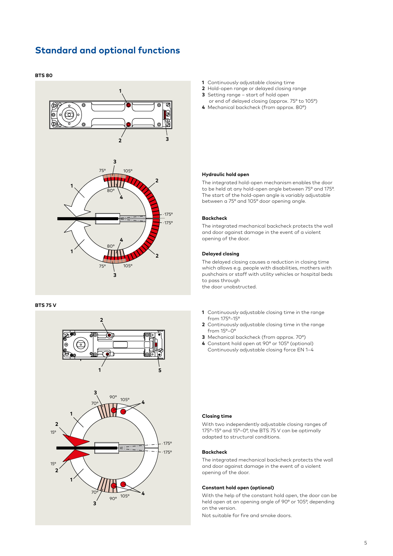# **Standard and optional functions**

## **BTS 80**



#### **BTS 75 V**



- **1** Continuously adjustable closing time
- **2** Hold-open range or delayed closing range
- **3** Setting range start of hold open or end of delayed closing (approx. 75° to 105°)
- **4** Mechanical backcheck (from approx. 80°)

## **Hydraulic hold open**

The integrated hold-open mechanism enables the door to be held at any hold-open angle between 75° and 175°. The start of the hold-open angle is variably adjustable between a 75° and 105° door opening angle.

#### **Backcheck**

The integrated mechanical backcheck protects the wall and door against damage in the event of a violent opening of the door.

## **Delayed closing**

The delayed closing causes a reduction in closing time which allows e.g. people with disabilities, mothers with pushchairs or staff with utility vehicles or hospital beds to pass through the door unobstructed.

- **1** Continuously adjustable closing time in the range from 175°–15°
- **2** Continuously adjustable closing time in the range from 15°–0°
- **3** Mechanical backcheck (from approx. 70°)
- **4** Constant hold open at 90° or 105° (optional) Continuously adjustable closing force EN 1–4

## **Closing time**

With two independently adjustable closing ranges of 175°–15° and 15°–0°, the BTS 75 V can be optimally adapted to structural conditions.

# **Backcheck**

The integrated mechanical backcheck protects the wall and door against damage in the event of a violent opening of the door.

## **Constant hold open (optional)**

With the help of the constant hold open, the door can be held open at an opening angle of 90° or 105°, depending on the version.

Not suitable for fire and smoke doors.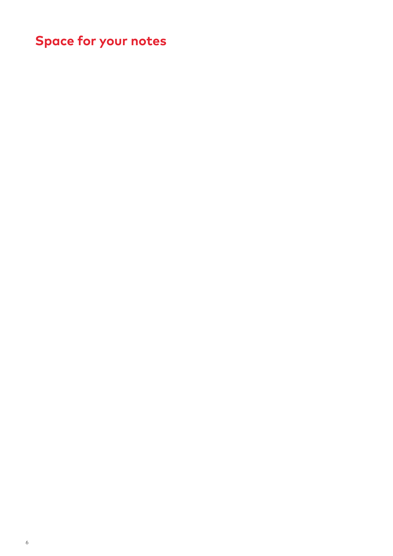# **Space for your notes**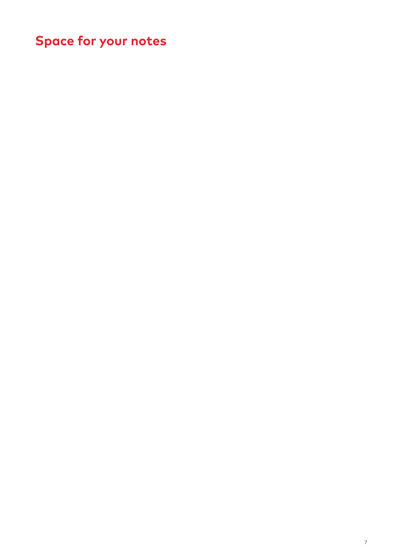# **Space for your notes**